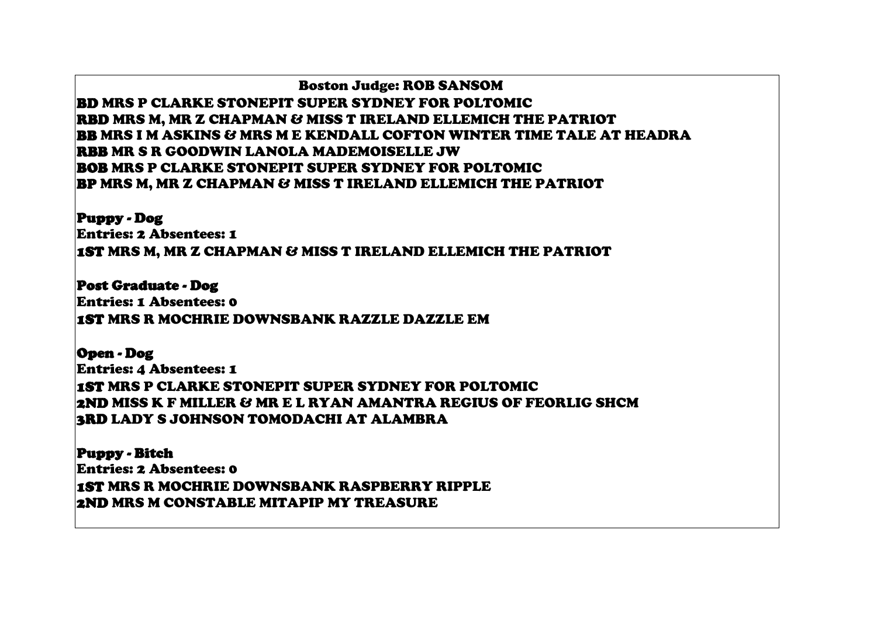Boston Judge: ROB SANSOM BD MRS P CLARKE STONEPIT SUPER SYDNEY FOR POLTOMIC RBD MRS M, MR Z CHAPMAN & MISS T IRELAND ELLEMICH THE PATRIOT BB MRS I M ASKINS & MRS M E KENDALL COFTON WINTER TIME TALE AT HEADRA RBB MR S R GOODWIN LANOLA MADEMOISELLE JW BOB MRS P CLARKE STONEPIT SUPER SYDNEY FOR POLTOMIC BP MRS M, MR Z CHAPMAN & MISS T IRELAND ELLEMICH THE PATRIOT

Puppy - Dog Entries: 2 Absentees: 1 1ST MRS M, MR Z CHAPMAN & MISS T IRELAND ELLEMICH THE PATRIOT

Post Graduate - Dog Entries: 1 Absentees: 0 1ST MRS R MOCHRIE DOWNSBANK RAZZLE DAZZLE EM

Open - Dog Entries: 4 Absentees: 1 1ST MRS P CLARKE STONEPIT SUPER SYDNEY FOR POLTOMIC 2ND MISS K F MILLER & MR E L RYAN AMANTRA REGIUS OF FEORLIG SHCM 3RD LADY S JOHNSON TOMODACHI AT ALAMBRA

Puppy - Bitch Entries: 2 Absentees: 0 1ST MRS R MOCHRIE DOWNSBANK RASPBERRY RIPPLE 2ND MRS M CONSTABLE MITAPIP MY TREASURE